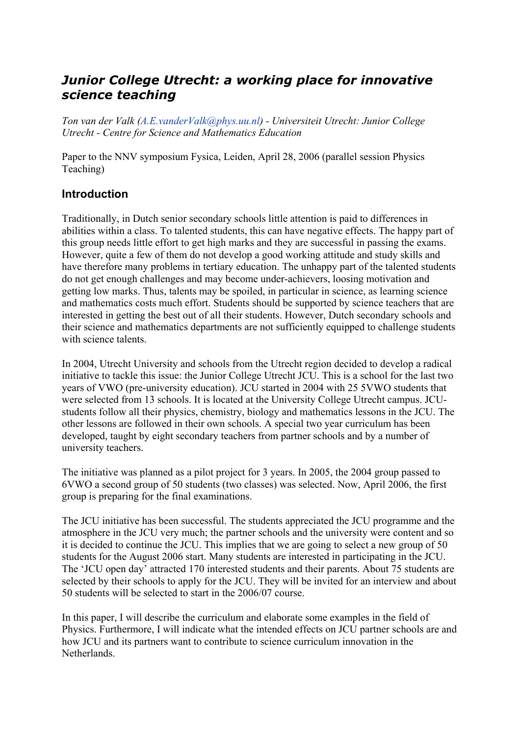# *Junior College Utrecht: a working place for innovative science teaching*

*Ton van der Valk (A.E.vanderValk@phys.uu.nl) - Universiteit Utrecht: Junior College Utrecht - Centre for Science and Mathematics Education* 

Paper to the NNV symposium Fysica, Leiden, April 28, 2006 (parallel session Physics Teaching)

#### **Introduction**

Traditionally, in Dutch senior secondary schools little attention is paid to differences in abilities within a class. To talented students, this can have negative effects. The happy part of this group needs little effort to get high marks and they are successful in passing the exams. However, quite a few of them do not develop a good working attitude and study skills and have therefore many problems in tertiary education. The unhappy part of the talented students do not get enough challenges and may become under-achievers, loosing motivation and getting low marks. Thus, talents may be spoiled, in particular in science, as learning science and mathematics costs much effort. Students should be supported by science teachers that are interested in getting the best out of all their students. However, Dutch secondary schools and their science and mathematics departments are not sufficiently equipped to challenge students with science talents.

In 2004, Utrecht University and schools from the Utrecht region decided to develop a radical initiative to tackle this issue: the Junior College Utrecht JCU. This is a school for the last two years of VWO (pre-university education). JCU started in 2004 with 25 5VWO students that were selected from 13 schools. It is located at the University College Utrecht campus. JCUstudents follow all their physics, chemistry, biology and mathematics lessons in the JCU. The other lessons are followed in their own schools. A special two year curriculum has been developed, taught by eight secondary teachers from partner schools and by a number of university teachers.

The initiative was planned as a pilot project for 3 years. In 2005, the 2004 group passed to 6VWO a second group of 50 students (two classes) was selected. Now, April 2006, the first group is preparing for the final examinations.

The JCU initiative has been successful. The students appreciated the JCU programme and the atmosphere in the JCU very much; the partner schools and the university were content and so it is decided to continue the JCU. This implies that we are going to select a new group of 50 students for the August 2006 start. Many students are interested in participating in the JCU. The 'JCU open day' attracted 170 interested students and their parents. About 75 students are selected by their schools to apply for the JCU. They will be invited for an interview and about 50 students will be selected to start in the 2006/07 course.

In this paper, I will describe the curriculum and elaborate some examples in the field of Physics. Furthermore, I will indicate what the intended effects on JCU partner schools are and how JCU and its partners want to contribute to science curriculum innovation in the **Netherlands**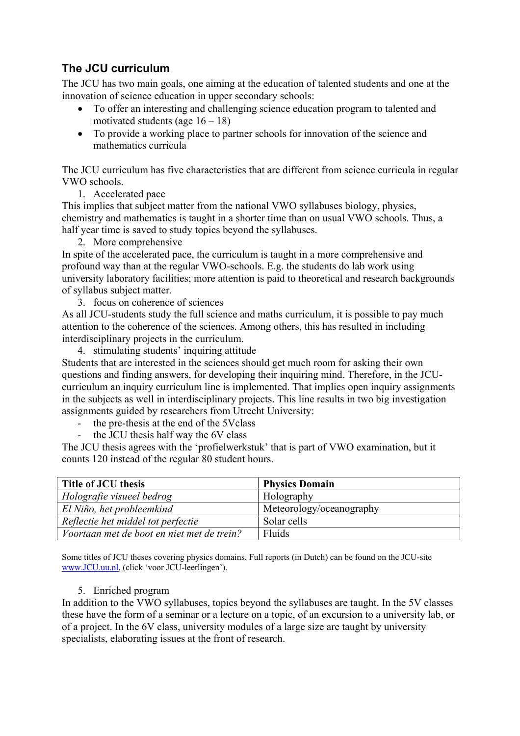# **The JCU curriculum**

The JCU has two main goals, one aiming at the education of talented students and one at the innovation of science education in upper secondary schools:

- To offer an interesting and challenging science education program to talented and motivated students (age  $16 - 18$ )
- To provide a working place to partner schools for innovation of the science and mathematics curricula

The JCU curriculum has five characteristics that are different from science curricula in regular VWO schools.

1. Accelerated pace

This implies that subject matter from the national VWO syllabuses biology, physics, chemistry and mathematics is taught in a shorter time than on usual VWO schools. Thus, a half year time is saved to study topics beyond the syllabuses.

2. More comprehensive

In spite of the accelerated pace, the curriculum is taught in a more comprehensive and profound way than at the regular VWO-schools. E.g. the students do lab work using university laboratory facilities; more attention is paid to theoretical and research backgrounds of syllabus subject matter.

3. focus on coherence of sciences

As all JCU-students study the full science and maths curriculum, it is possible to pay much attention to the coherence of the sciences. Among others, this has resulted in including interdisciplinary projects in the curriculum.

4. stimulating students' inquiring attitude

Students that are interested in the sciences should get much room for asking their own questions and finding answers, for developing their inquiring mind. Therefore, in the JCUcurriculum an inquiry curriculum line is implemented. That implies open inquiry assignments in the subjects as well in interdisciplinary projects. This line results in two big investigation assignments guided by researchers from Utrecht University:

- the pre-thesis at the end of the 5Vclass
- the JCU thesis half way the 6V class

The JCU thesis agrees with the 'profielwerkstuk' that is part of VWO examination, but it counts 120 instead of the regular 80 student hours.

| Title of JCU thesis                        | <b>Physics Domain</b>    |
|--------------------------------------------|--------------------------|
| Holografie visueel bedrog                  | Holography               |
| El Niño, het probleemkind                  | Meteorology/oceanography |
| Reflectie het middel tot perfectie         | Solar cells              |
| Voortaan met de boot en niet met de trein? | Fluids                   |

Some titles of JCU theses covering physics domains. Full reports (in Dutch) can be found on the JCU-site www.JCU.uu.nl, (click 'voor JCU-leerlingen').

#### 5. Enriched program

In addition to the VWO syllabuses, topics beyond the syllabuses are taught. In the 5V classes these have the form of a seminar or a lecture on a topic, of an excursion to a university lab, or of a project. In the 6V class, university modules of a large size are taught by university specialists, elaborating issues at the front of research.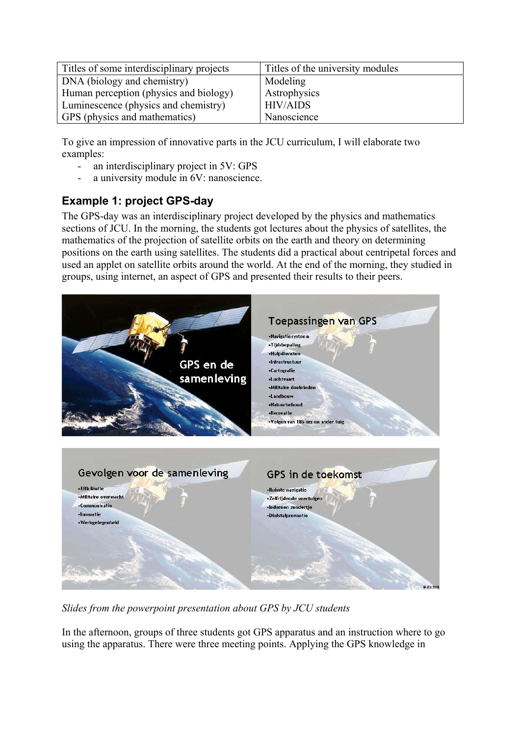| Titles of some interdisciplinary projects | Titles of the university modules |
|-------------------------------------------|----------------------------------|
| DNA (biology and chemistry)               | Modeling                         |
| Human perception (physics and biology)    | Astrophysics                     |
| Luminescence (physics and chemistry)      | <b>HIV/AIDS</b>                  |
| GPS (physics and mathematics)             | Nanoscience                      |

To give an impression of innovative parts in the JCU curriculum, I will elaborate two examples:

- an interdisciplinary project in 5V: GPS
- a university module in 6V: nanoscience.

# **Example 1: project GPS-day**

The GPS-day was an interdisciplinary project developed by the physics and mathematics sections of JCU. In the morning, the students got lectures about the physics of satellites, the mathematics of the projection of satellite orbits on the earth and theory on determining positions on the earth using satellites. The students did a practical about centripetal forces and used an applet on satellite orbits around the world. At the end of the morning, they studied in groups, using internet, an aspect of GPS and presented their results to their peers.



*Slides from the powerpoint presentation about GPS by JCU students* 

In the afternoon, groups of three students got GPS apparatus and an instruction where to go using the apparatus. There were three meeting points. Applying the GPS knowledge in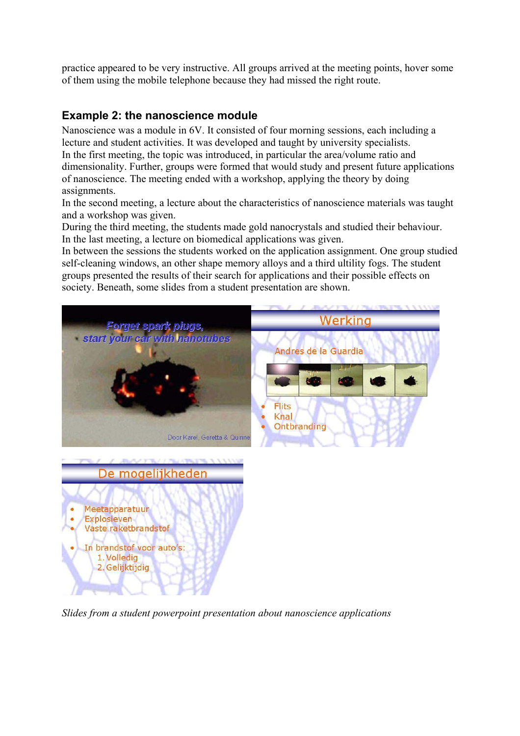practice appeared to be very instructive. All groups arrived at the meeting points, hover some of them using the mobile telephone because they had missed the right route.

### **Example 2: the nanoscience module**

Nanoscience was a module in 6V. It consisted of four morning sessions, each including a lecture and student activities. It was developed and taught by university specialists. In the first meeting, the topic was introduced, in particular the area/volume ratio and dimensionality. Further, groups were formed that would study and present future applications of nanoscience. The meeting ended with a workshop, applying the theory by doing assignments.

In the second meeting, a lecture about the characteristics of nanoscience materials was taught and a workshop was given.

During the third meeting, the students made gold nanocrystals and studied their behaviour. In the last meeting, a lecture on biomedical applications was given.

In between the sessions the students worked on the application assignment. One group studied self-cleaning windows, an other shape memory alloys and a third ultility fogs. The student groups presented the results of their search for applications and their possible effects on society. Beneath, some slides from a student presentation are shown.



*Slides from a student powerpoint presentation about nanoscience applications*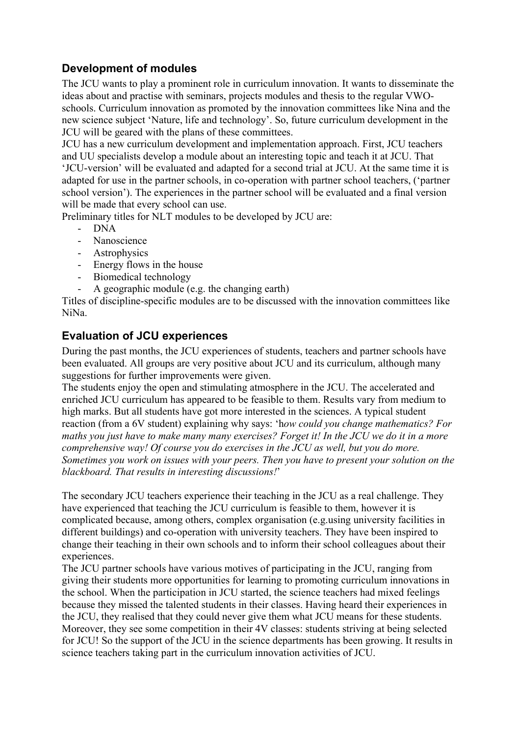# **Development of modules**

The JCU wants to play a prominent role in curriculum innovation. It wants to disseminate the ideas about and practise with seminars, projects modules and thesis to the regular VWOschools. Curriculum innovation as promoted by the innovation committees like Nina and the new science subject 'Nature, life and technology'. So, future curriculum development in the JCU will be geared with the plans of these committees.

JCU has a new curriculum development and implementation approach. First, JCU teachers and UU specialists develop a module about an interesting topic and teach it at JCU. That 'JCU-version' will be evaluated and adapted for a second trial at JCU. At the same time it is adapted for use in the partner schools, in co-operation with partner school teachers, ('partner school version'). The experiences in the partner school will be evaluated and a final version will be made that every school can use.

Preliminary titles for NLT modules to be developed by JCU are:

- DNA
- Nanoscience
- Astrophysics
- Energy flows in the house
- Biomedical technology
- A geographic module (e.g. the changing earth)

Titles of discipline-specific modules are to be discussed with the innovation committees like NiNa.

#### **Evaluation of JCU experiences**

During the past months, the JCU experiences of students, teachers and partner schools have been evaluated. All groups are very positive about JCU and its curriculum, although many suggestions for further improvements were given.

The students enjoy the open and stimulating atmosphere in the JCU. The accelerated and enriched JCU curriculum has appeared to be feasible to them. Results vary from medium to high marks. But all students have got more interested in the sciences. A typical student reaction (from a 6V student) explaining why says: 'h*ow could you change mathematics? For maths you just have to make many many exercises? Forget it! In the JCU we do it in a more comprehensive way! Of course you do exercises in the JCU as well, but you do more. Sometimes you work on issues with your peers. Then you have to present your solution on the blackboard. That results in interesting discussions!*'

The secondary JCU teachers experience their teaching in the JCU as a real challenge. They have experienced that teaching the JCU curriculum is feasible to them, however it is complicated because, among others, complex organisation (e.g.using university facilities in different buildings) and co-operation with university teachers. They have been inspired to change their teaching in their own schools and to inform their school colleagues about their experiences.

The JCU partner schools have various motives of participating in the JCU, ranging from giving their students more opportunities for learning to promoting curriculum innovations in the school. When the participation in JCU started, the science teachers had mixed feelings because they missed the talented students in their classes. Having heard their experiences in the JCU, they realised that they could never give them what JCU means for these students. Moreover, they see some competition in their 4V classes: students striving at being selected for JCU! So the support of the JCU in the science departments has been growing. It results in science teachers taking part in the curriculum innovation activities of JCU.